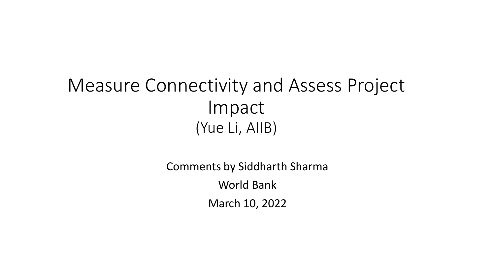#### Measure Connectivity and Assess Project Impact (Yue Li, AIIB)

Comments by Siddharth Sharma World Bank March 10, 2022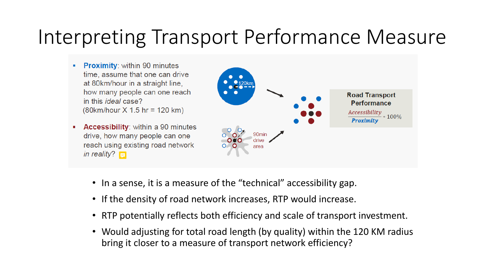### Interpreting Transport Performance Measure

- **Proximity: within 90 minutes** time, assume that one can drive at 80km/hour in a straight line. how many people can one reach in this *ideal* case?  $(80km/hour X 1.5 hr = 120 km)$
- **Accessibility:** within a 90 minutes п. drive, how many people can one reach using existing road network in reality?  $\Box$



- In a sense, it is a measure of the "technical" accessibility gap.
- If the density of road network increases, RTP would increase.
- RTP potentially reflects both efficiency and scale of transport investment.
- Would adjusting for total road length (by quality) within the 120 KM radius bring it closer to a measure of transport network efficiency?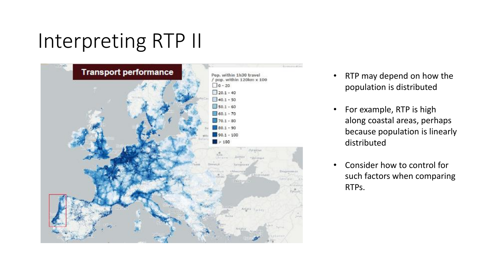## Interpreting RTP II



- RTP may depend on how the population is distributed
- For example, RTP is high along coastal areas, perhaps because population is linearly distributed
- Consider how to control for such factors when comparing RTPs.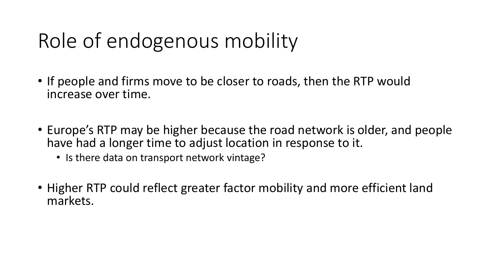## Role of endogenous mobility

- If people and firms move to be closer to roads, then the RTP would increase over time.
- Europe's RTP may be higher because the road network is older, and people have had a longer time to adjust location in response to it.
	- Is there data on transport network vintage?
- Higher RTP could reflect greater factor mobility and more efficient land markets.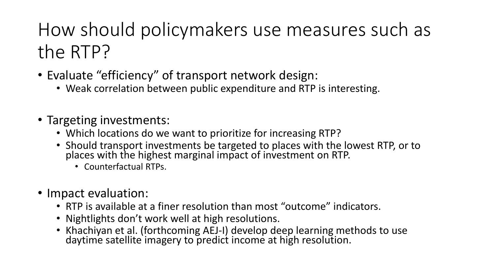#### How should policymakers use measures such as the RTP?

- Evaluate "efficiency" of transport network design:
	- Weak correlation between public expenditure and RTP is interesting.
- Targeting investments:
	- Which locations do we want to prioritize for increasing RTP?
	- Should transport investments be targeted to places with the lowest RTP, or to places with the highest marginal impact of investment on RTP.
		- Counterfactual RTPs.
- Impact evaluation:
	- RTP is available at a finer resolution than most "outcome" indicators.
	- Nightlights don't work well at high resolutions.
	- Khachiyan et al. (forthcoming AEJ-I) develop deep learning methods to use daytime satellite imagery to predict income at high resolution.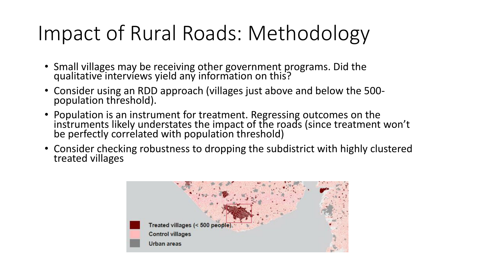# Impact of Rural Roads: Methodology

- Small villages may be receiving other government programs. Did the qualitative interviews yield any information on this?
- Consider using an RDD approach (villages just above and below the 500 population threshold).
- Population is an instrument for treatment. Regressing outcomes on the instruments likely understates the impact of the roads (since treatment won't be perfectly correlated with population threshold)
- Consider checking robustness to dropping the subdistrict with highly clustered treated villages